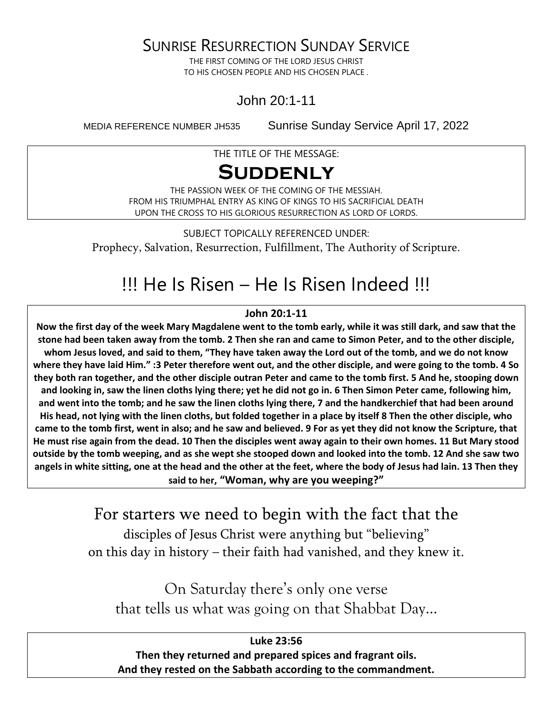SUNRISE RESURRECTION SUNDAY SERVICE

THE FIRST COMING OF THE LORD JESUS CHRIST TO HIS CHOSEN PEOPLE AND HIS CHOSEN PLACE .

John 20:1-11

MEDIA REFERENCE NUMBER JH535 Sunrise Sunday Service April 17, 2022

THE TITLE OF THE MESSAGE:

## **Suddenly**

THE PASSION WEEK OF THE COMING OF THE MESSIAH. FROM HIS TRIUMPHAL ENTRY AS KING OF KINGS TO HIS SACRIFICIAL DEATH UPON THE CROSS TO HIS GLORIOUS RESURRECTION AS LORD OF LORDS.

SUBJECT TOPICALLY REFERENCED UNDER: Prophecy, Salvation, Resurrection, Fulfillment, The Authority of Scripture.

## !!! He Is Risen – He Is Risen Indeed !!!

#### **John 20:1-11**

**Now the first day of the week Mary Magdalene went to the tomb early, while it was still dark, and saw that the stone had been taken away from the tomb. 2 Then she ran and came to Simon Peter, and to the other disciple, whom Jesus loved, and said to them, "They have taken away the Lord out of the tomb, and we do not know where they have laid Him." :3 Peter therefore went out, and the other disciple, and were going to the tomb. 4 So they both ran together, and the other disciple outran Peter and came to the tomb first. 5 And he, stooping down and looking in, saw the linen cloths lying there; yet he did not go in. 6 Then Simon Peter came, following him, and went into the tomb; and he saw the linen cloths lying there, 7 and the handkerchief that had been around His head, not lying with the linen cloths, but folded together in a place by itself 8 Then the other disciple, who came to the tomb first, went in also; and he saw and believed. 9 For as yet they did not know the Scripture, that He must rise again from the dead. 10 Then the disciples went away again to their own homes. 11 But Mary stood outside by the tomb weeping, and as she wept she stooped down and looked into the tomb. 12 And she saw two angels in white sitting, one at the head and the other at the feet, where the body of Jesus had lain. 13 Then they said to her, "Woman, why are you weeping?"**

> For starters we need to begin with the fact that the disciples of Jesus Christ were anything but "believing" on this day in history – their faith had vanished, and they knew it.

On Saturday there's only one verse that tells us what was going on that Shabbat Day…

**Luke 23:56 Then they returned and prepared spices and fragrant oils. And they rested on the Sabbath according to the commandment.**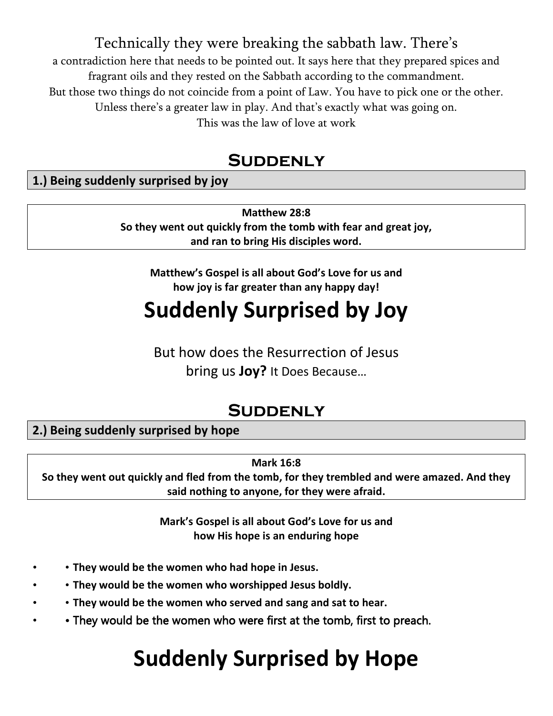Technically they were breaking the sabbath law. There's

a contradiction here that needs to be pointed out. It says here that they prepared spices and fragrant oils and they rested on the Sabbath according to the commandment. But those two things do not coincide from a point of Law. You have to pick one or the other. Unless there's a greater law in play. And that's exactly what was going on. This was the law of love at work

## **SUDDENLY**

### **1.) Being suddenly surprised by joy**

**Matthew 28:8 So they went out quickly from the tomb with fear and great joy, and ran to bring His disciples word.**

**Matthew's Gospel is all about God's Love for us and how joy is far greater than any happy day!**

# **Suddenly Surprised by Joy**

But how does the Resurrection of Jesus bring us **Joy?** It Does Because…

## **Suddenly**

**2.) Being suddenly surprised by hope**

**Mark 16:8**

**So they went out quickly and fled from the tomb, for they trembled and were amazed. And they said nothing to anyone, for they were afraid.** 

> **Mark's Gospel is all about God's Love for us and how His hope is an enduring hope**

- • **They would be the women who had hope in Jesus.**
- • **They would be the women who worshipped Jesus boldly.**
- • **They would be the women who served and sang and sat to hear.**
- They would be the women who were first at the tomb, first to preach.

# **Suddenly Surprised by Hope**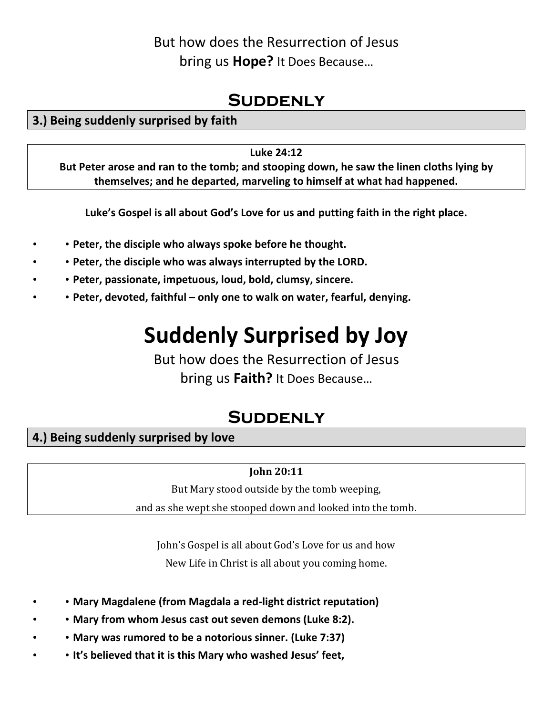## But how does the Resurrection of Jesus bring us **Hope?** It Does Because…

## **SUDDENLY**

### **3.) Being suddenly surprised by faith**

#### **Luke 24:12**

**But Peter arose and ran to the tomb; and stooping down, he saw the linen cloths lying by themselves; and he departed, marveling to himself at what had happened.**

**Luke's Gospel is all about God's Love for us and putting faith in the right place.**

- • **Peter, the disciple who always spoke before he thought.**
- • **Peter, the disciple who was always interrupted by the LORD.**
- • **Peter, passionate, impetuous, loud, bold, clumsy, sincere.**
- • **Peter, devoted, faithful – only one to walk on water, fearful, denying.**

# **Suddenly Surprised by Joy**

But how does the Resurrection of Jesus bring us **Faith?** It Does Because…

## **Suddenly**

### **4.) Being suddenly surprised by love**

#### **John 20:11**

But Mary stood outside by the tomb weeping, and as she wept she stooped down and looked into the tomb.

John's Gospel is all about God's Love for us and how New Life in Christ is all about you coming home.

- • **Mary Magdalene (from Magdala a red-light district reputation)**
- • **Mary from whom Jesus cast out seven demons (Luke 8:2).**
- • **Mary was rumored to be a notorious sinner. (Luke 7:37)**
- • **It's believed that it is this Mary who washed Jesus' feet,**